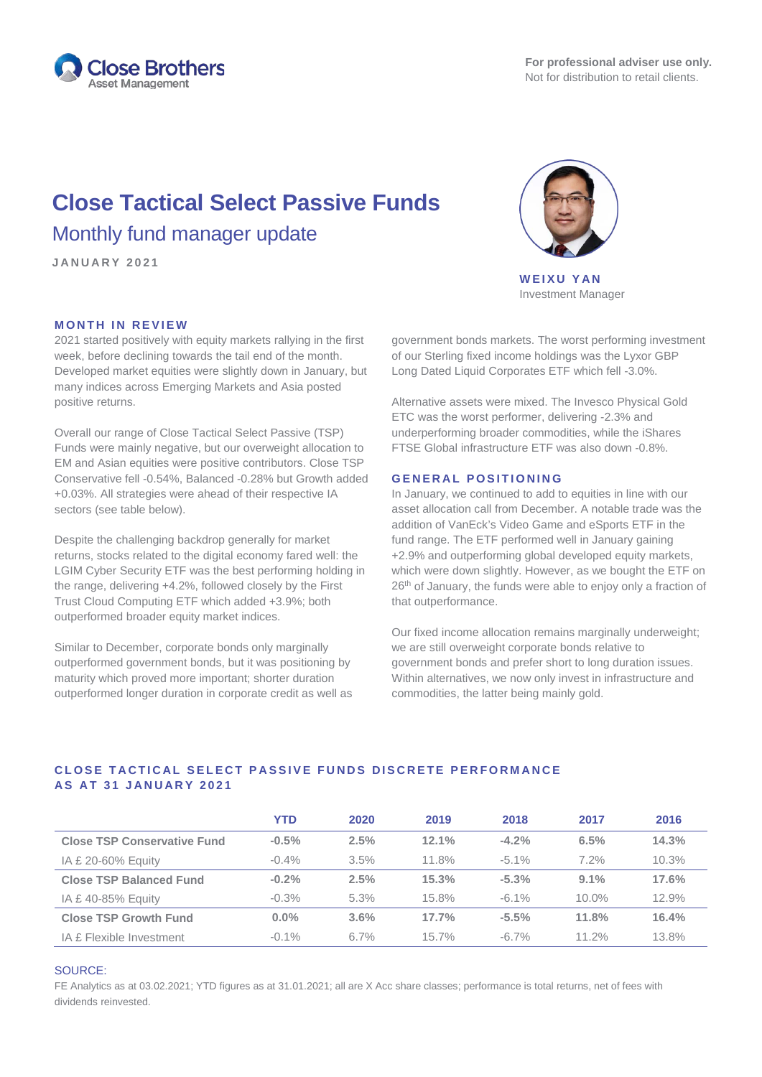

# **Close Tactical Select Passive Funds** Monthly fund manager update

**JANUARY 2 0 2 1**

# **MONTH IN REVIEW**

2021 started positively with equity markets rallying in the first week, before declining towards the tail end of the month. Developed market equities were slightly down in January, but many indices across Emerging Markets and Asia posted positive returns.

Overall our range of Close Tactical Select Passive (TSP) Funds were mainly negative, but our overweight allocation to EM and Asian equities were positive contributors. Close TSP Conservative fell -0.54%, Balanced -0.28% but Growth added +0.03%. All strategies were ahead of their respective IA sectors (see table below).

Despite the challenging backdrop generally for market returns, stocks related to the digital economy fared well: the LGIM Cyber Security ETF was the best performing holding in the range, delivering +4.2%, followed closely by the First Trust Cloud Computing ETF which added +3.9%; both outperformed broader equity market indices.

Similar to December, corporate bonds only marginally outperformed government bonds, but it was positioning by maturity which proved more important; shorter duration outperformed longer duration in corporate credit as well as



**WEIXU YAN** Investment Manager

government bonds markets. The worst performing investment of our Sterling fixed income holdings was the Lyxor GBP Long Dated Liquid Corporates ETF which fell -3.0%.

Alternative assets were mixed. The Invesco Physical Gold ETC was the worst performer, delivering -2.3% and underperforming broader commodities, while the iShares FTSE Global infrastructure ETF was also down -0.8%.

## **GENERAL POSITIONING**

In January, we continued to add to equities in line with our asset allocation call from December. A notable trade was the addition of VanEck's Video Game and eSports ETF in the fund range. The ETF performed well in January gaining +2.9% and outperforming global developed equity markets, which were down slightly. However, as we bought the ETF on 26<sup>th</sup> of January, the funds were able to enjoy only a fraction of that outperformance.

Our fixed income allocation remains marginally underweight; we are still overweight corporate bonds relative to government bonds and prefer short to long duration issues. Within alternatives, we now only invest in infrastructure and commodities, the latter being mainly gold.

# **CLOSE TACTICAL SELECT PASSIVE FUNDS DISCRETE PERFORMANCE AS AT 3 1 JANUARY 2 0 2 1**

|                                    | <b>YTD</b> | 2020    | 2019  | 2018     | 2017     | 2016  |
|------------------------------------|------------|---------|-------|----------|----------|-------|
| <b>Close TSP Conservative Fund</b> | $-0.5%$    | 2.5%    | 12.1% | $-4.2%$  | 6.5%     | 14.3% |
| IA £ 20-60% Equity                 | $-0.4\%$   | 3.5%    | 11.8% | $-5.1\%$ | 7.2%     | 10.3% |
| <b>Close TSP Balanced Fund</b>     | $-0.2%$    | 2.5%    | 15.3% | $-5.3%$  | $9.1\%$  | 17.6% |
| IA £40-85% Equity                  | $-0.3%$    | 5.3%    | 15.8% | $-6.1\%$ | $10.0\%$ | 12.9% |
| <b>Close TSP Growth Fund</b>       | $0.0\%$    | $3.6\%$ | 17.7% | $-5.5%$  | 11.8%    | 16.4% |
| IA £ Flexible Investment           | $-0.1\%$   | $6.7\%$ | 15.7% | $-6.7\%$ | $11.2\%$ | 13.8% |

### SOURCE:

FE Analytics as at 03.02.2021; YTD figures as at 31.01.2021; all are X Acc share classes; performance is total returns, net of fees with dividends reinvested.